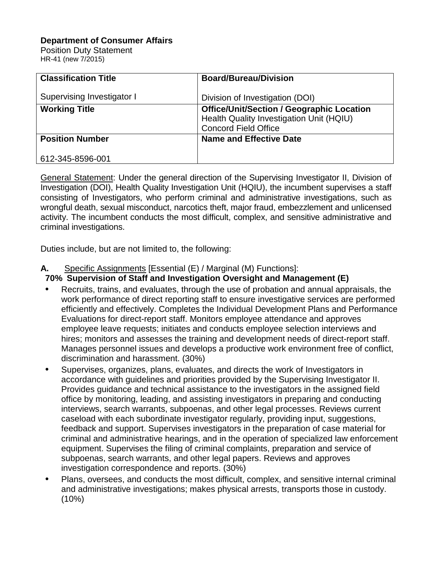### **Department of Consumer Affairs**

Position Duty Statement HR-41 (new 7/2015)

| <b>Classification Title</b> | <b>Board/Bureau/Division</b>                                                                                                |
|-----------------------------|-----------------------------------------------------------------------------------------------------------------------------|
| Supervising Investigator I  | Division of Investigation (DOI)                                                                                             |
| <b>Working Title</b>        | <b>Office/Unit/Section / Geographic Location</b><br>Health Quality Investigation Unit (HQIU)<br><b>Concord Field Office</b> |
| <b>Position Number</b>      | <b>Name and Effective Date</b>                                                                                              |
| 612-345-8596-001            |                                                                                                                             |

General Statement: Under the general direction of the Supervising Investigator II, Division of Investigation (DOI), Health Quality Investigation Unit (HQIU), the incumbent supervises a staff consisting of Investigators, who perform criminal and administrative investigations, such as wrongful death, sexual misconduct, narcotics theft, major fraud, embezzlement and unlicensed activity. The incumbent conducts the most difficult, complex, and sensitive administrative and criminal investigations.

Duties include, but are not limited to, the following:

## **A.** Specific Assignments [Essential (E) / Marginal (M) Functions]:

# **70% Supervision of Staff and Investigation Oversight and Management (E)**

- Recruits, trains, and evaluates, through the use of probation and annual appraisals, the work performance of direct reporting staff to ensure investigative services are performed efficiently and effectively. Completes the Individual Development Plans and Performance Evaluations for direct-report staff. Monitors employee attendance and approves employee leave requests; initiates and conducts employee selection interviews and hires; monitors and assesses the training and development needs of direct-report staff. Manages personnel issues and develops a productive work environment free of conflict, discrimination and harassment. (30%)
- Supervises, organizes, plans, evaluates, and directs the work of Investigators in accordance with guidelines and priorities provided by the Supervising Investigator II. Provides guidance and technical assistance to the investigators in the assigned field office by monitoring, leading, and assisting investigators in preparing and conducting interviews, search warrants, subpoenas, and other legal processes. Reviews current caseload with each subordinate investigator regularly, providing input, suggestions, feedback and support. Supervises investigators in the preparation of case material for criminal and administrative hearings, and in the operation of specialized law enforcement equipment. Supervises the filing of criminal complaints, preparation and service of subpoenas, search warrants, and other legal papers. Reviews and approves investigation correspondence and reports. (30%)
- Plans, oversees, and conducts the most difficult, complex, and sensitive internal criminal and administrative investigations; makes physical arrests, transports those in custody.  $(10%)$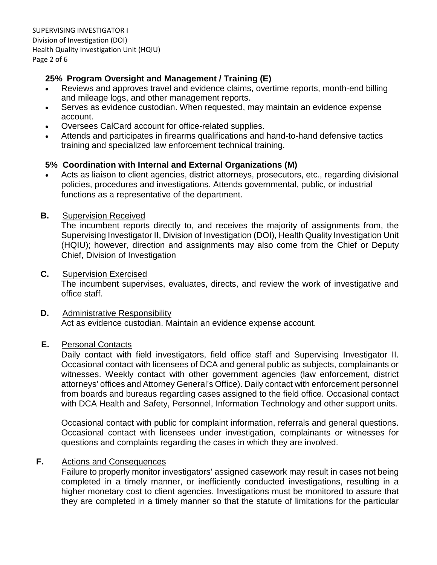## **25% Program Oversight and Management / Training (E)**

- Reviews and approves travel and evidence claims, overtime reports, month-end billing and mileage logs, and other management reports.
- Serves as evidence custodian. When requested, may maintain an evidence expense account.
- Oversees CalCard account for office-related supplies.
- Attends and participates in firearms qualifications and hand-to-hand defensive tactics training and specialized law enforcement technical training.

# **5% Coordination with Internal and External Organizations (M)**

• Acts as liaison to client agencies, district attorneys, prosecutors, etc., regarding divisional policies, procedures and investigations. Attends governmental, public, or industrial functions as a representative of the department.

### **B.** Supervision Received

The incumbent reports directly to, and receives the majority of assignments from, the Supervising Investigator II, Division of Investigation (DOI), Health Quality Investigation Unit (HQIU); however, direction and assignments may also come from the Chief or Deputy Chief, Division of Investigation

### **C.** Supervision Exercised

The incumbent supervises, evaluates, directs, and review the work of investigative and office staff.

### **D.** Administrative Responsibility Act as evidence custodian. Maintain an evidence expense account.

### **E.** Personal Contacts

Daily contact with field investigators, field office staff and Supervising Investigator II. Occasional contact with licensees of DCA and general public as subjects, complainants or witnesses. Weekly contact with other government agencies (law enforcement, district attorneys' offices and Attorney General's Office). Daily contact with enforcement personnel from boards and bureaus regarding cases assigned to the field office. Occasional contact with DCA Health and Safety, Personnel, Information Technology and other support units.

Occasional contact with public for complaint information, referrals and general questions. Occasional contact with licensees under investigation, complainants or witnesses for questions and complaints regarding the cases in which they are involved.

## **F.** Actions and Consequences

Failure to properly monitor investigators' assigned casework may result in cases not being completed in a timely manner, or inefficiently conducted investigations, resulting in a higher monetary cost to client agencies. Investigations must be monitored to assure that they are completed in a timely manner so that the statute of limitations for the particular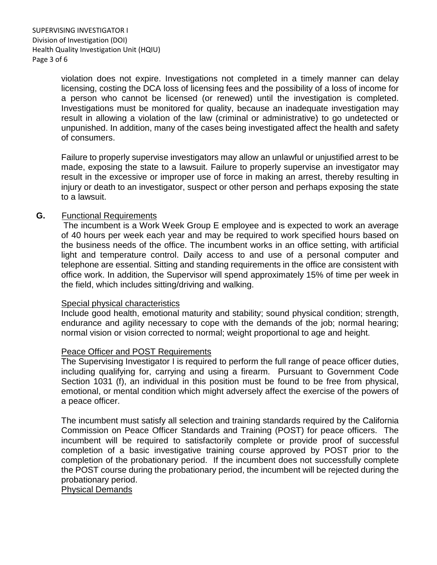violation does not expire. Investigations not completed in a timely manner can delay licensing, costing the DCA loss of licensing fees and the possibility of a loss of income for a person who cannot be licensed (or renewed) until the investigation is completed. Investigations must be monitored for quality, because an inadequate investigation may result in allowing a violation of the law (criminal or administrative) to go undetected or unpunished. In addition, many of the cases being investigated affect the health and safety of consumers.

Failure to properly supervise investigators may allow an unlawful or unjustified arrest to be made, exposing the state to a lawsuit. Failure to properly supervise an investigator may result in the excessive or improper use of force in making an arrest, thereby resulting in injury or death to an investigator, suspect or other person and perhaps exposing the state to a lawsuit.

#### **G.** Functional Requirements

The incumbent is a Work Week Group E employee and is expected to work an average of 40 hours per week each year and may be required to work specified hours based on the business needs of the office. The incumbent works in an office setting, with artificial light and temperature control. Daily access to and use of a personal computer and telephone are essential. Sitting and standing requirements in the office are consistent with office work. In addition, the Supervisor will spend approximately 15% of time per week in the field, which includes sitting/driving and walking.

#### Special physical characteristics

Include good health, emotional maturity and stability; sound physical condition; strength, endurance and agility necessary to cope with the demands of the job; normal hearing; normal vision or vision corrected to normal; weight proportional to age and height.

#### Peace Officer and POST Requirements

The Supervising Investigator I is required to perform the full range of peace officer duties, including qualifying for, carrying and using a firearm. Pursuant to Government Code Section 1031 (f), an individual in this position must be found to be free from physical, emotional, or mental condition which might adversely affect the exercise of the powers of a peace officer.

The incumbent must satisfy all selection and training standards required by the California Commission on Peace Officer Standards and Training (POST) for peace officers. The incumbent will be required to satisfactorily complete or provide proof of successful completion of a basic investigative training course approved by POST prior to the completion of the probationary period. If the incumbent does not successfully complete the POST course during the probationary period, the incumbent will be rejected during the probationary period.

#### Physical Demands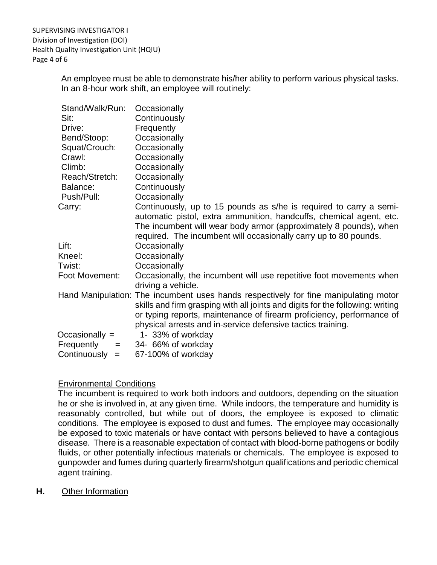An employee must be able to demonstrate his/her ability to perform various physical tasks. In an 8-hour work shift, an employee will routinely:

| Stand/Walk/Run:     | Occasionally                                                                         |
|---------------------|--------------------------------------------------------------------------------------|
| Sit:                | Continuously                                                                         |
| Drive:              | Frequently                                                                           |
| Bend/Stoop:         | Occasionally                                                                         |
| Squat/Crouch:       | Occasionally                                                                         |
| Crawl:              | Occasionally                                                                         |
| Climb:              | Occasionally                                                                         |
| Reach/Stretch:      | Occasionally                                                                         |
| Balance:            | Continuously                                                                         |
| Push/Pull:          | Occasionally                                                                         |
| Carry:              | Continuously, up to 15 pounds as s/he is required to carry a semi-                   |
|                     | automatic pistol, extra ammunition, handcuffs, chemical agent, etc.                  |
|                     | The incumbent will wear body armor (approximately 8 pounds), when                    |
|                     | required. The incumbent will occasionally carry up to 80 pounds.                     |
| Lift:               | Occasionally                                                                         |
| Kneel:              | Occasionally                                                                         |
| Twist:              | Occasionally                                                                         |
| Foot Movement:      | Occasionally, the incumbent will use repetitive foot movements when                  |
|                     | driving a vehicle.                                                                   |
|                     | Hand Manipulation: The incumbent uses hands respectively for fine manipulating motor |
|                     | skills and firm grasping with all joints and digits for the following: writing       |
|                     | or typing reports, maintenance of firearm proficiency, performance of                |
|                     | physical arrests and in-service defensive tactics training.                          |
| Occasionally $=$    | 1- 33% of workday                                                                    |
| Frequently<br>$=$   | 34- 66% of workday                                                                   |
| Continuously<br>$=$ | 67-100% of workday                                                                   |

## Environmental Conditions

The incumbent is required to work both indoors and outdoors, depending on the situation he or she is involved in, at any given time. While indoors, the temperature and humidity is reasonably controlled, but while out of doors, the employee is exposed to climatic conditions. The employee is exposed to dust and fumes. The employee may occasionally be exposed to toxic materials or have contact with persons believed to have a contagious disease. There is a reasonable expectation of contact with blood-borne pathogens or bodily fluids, or other potentially infectious materials or chemicals. The employee is exposed to gunpowder and fumes during quarterly firearm/shotgun qualifications and periodic chemical agent training.

**H.** Other Information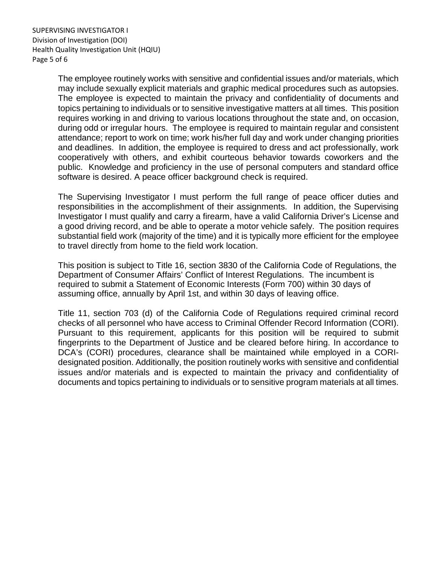The employee routinely works with sensitive and confidential issues and/or materials, which may include sexually explicit materials and graphic medical procedures such as autopsies. The employee is expected to maintain the privacy and confidentiality of documents and topics pertaining to individuals or to sensitive investigative matters at all times. This position requires working in and driving to various locations throughout the state and, on occasion, during odd or irregular hours. The employee is required to maintain regular and consistent attendance; report to work on time; work his/her full day and work under changing priorities and deadlines. In addition, the employee is required to dress and act professionally, work cooperatively with others, and exhibit courteous behavior towards coworkers and the public. Knowledge and proficiency in the use of personal computers and standard office software is desired. A peace officer background check is required.

The Supervising Investigator I must perform the full range of peace officer duties and responsibilities in the accomplishment of their assignments. In addition, the Supervising Investigator I must qualify and carry a firearm, have a valid California Driver's License and a good driving record, and be able to operate a motor vehicle safely. The position requires substantial field work (majority of the time) and it is typically more efficient for the employee to travel directly from home to the field work location.

This position is subject to Title 16, section 3830 of the California Code of Regulations, the Department of Consumer Affairs' Conflict of Interest Regulations. The incumbent is required to submit a Statement of Economic Interests (Form 700) within 30 days of assuming office, annually by April 1st, and within 30 days of leaving office.

Title 11, section 703 (d) of the California Code of Regulations required criminal record checks of all personnel who have access to Criminal Offender Record Information (CORI). Pursuant to this requirement, applicants for this position will be required to submit fingerprints to the Department of Justice and be cleared before hiring. In accordance to DCA's (CORI) procedures, clearance shall be maintained while employed in a CORIdesignated position. Additionally, the position routinely works with sensitive and confidential issues and/or materials and is expected to maintain the privacy and confidentiality of documents and topics pertaining to individuals or to sensitive program materials at all times.